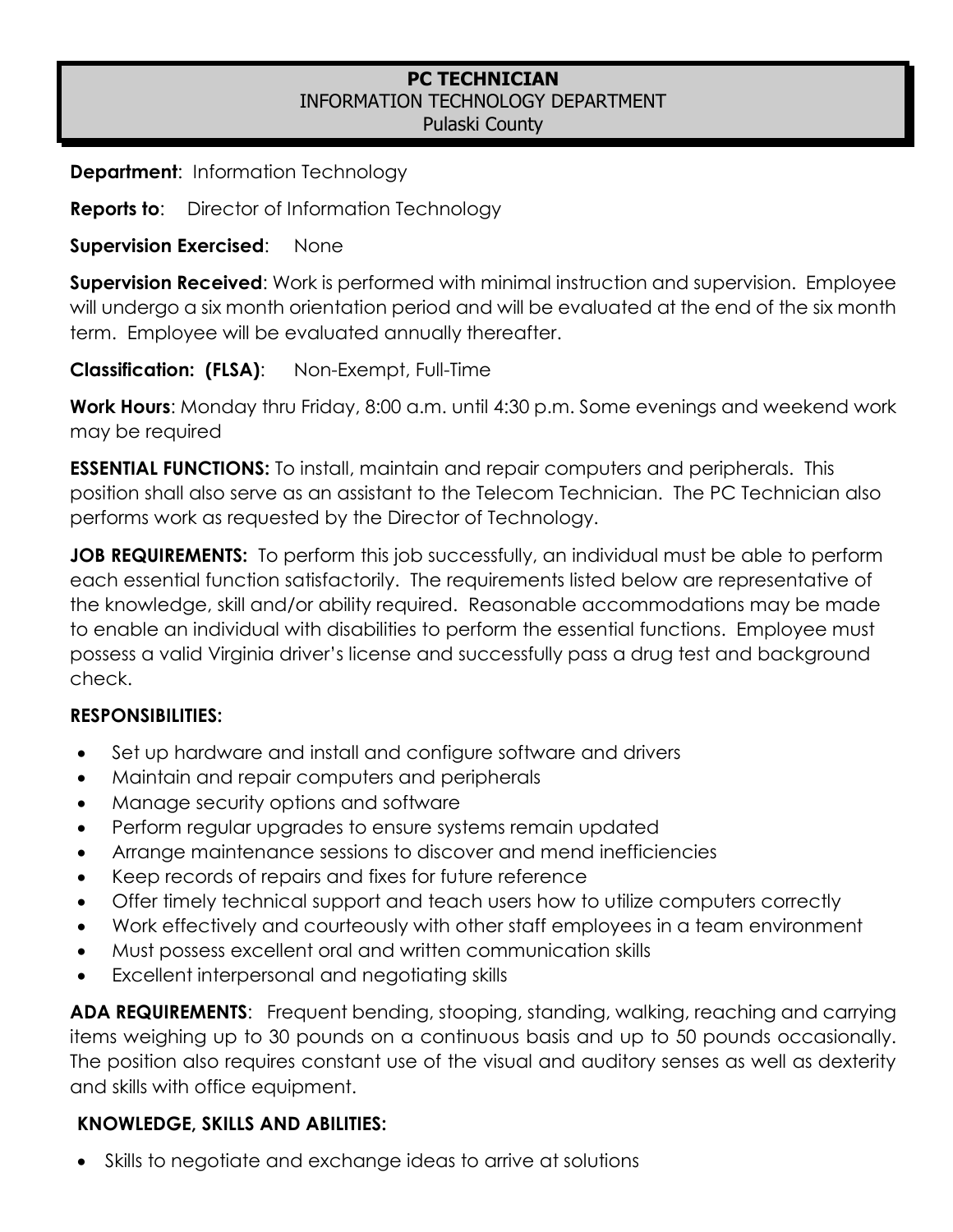#### **PC TECHNICIAN**  INFORMATION TECHNOLOGY DEPARTMENT Pulaski County

**Department:** Information Technology

**Reports to:** Director of Information Technology

**Supervision Exercised**: None

**Supervision Received**: Work is performed with minimal instruction and supervision. Employee will undergo a six month orientation period and will be evaluated at the end of the six month term. Employee will be evaluated annually thereafter.

**Classification: (FLSA)**: Non-Exempt, Full-Time

**Work Hours**: Monday thru Friday, 8:00 a.m. until 4:30 p.m. Some evenings and weekend work may be required

**ESSENTIAL FUNCTIONS:** To install, maintain and repair computers and peripherals. This position shall also serve as an assistant to the Telecom Technician. The PC Technician also performs work as requested by the Director of Technology.

**JOB REQUIREMENTS:** To perform this job successfully, an individual must be able to perform each essential function satisfactorily. The requirements listed below are representative of the knowledge, skill and/or ability required. Reasonable accommodations may be made to enable an individual with disabilities to perform the essential functions. Employee must possess a valid Virginia driver's license and successfully pass a drug test and background check.

# **RESPONSIBILITIES:**

- Set up hardware and install and configure software and drivers
- Maintain and repair computers and peripherals
- Manage security options and software
- Perform regular upgrades to ensure systems remain updated
- Arrange maintenance sessions to discover and mend inefficiencies
- Keep records of repairs and fixes for future reference
- Offer timely technical support and teach users how to utilize computers correctly
- Work effectively and courteously with other staff employees in a team environment
- Must possess excellent oral and written communication skills
- Excellent interpersonal and negotiating skills

**ADA REQUIREMENTS**: Frequent bending, stooping, standing, walking, reaching and carrying items weighing up to 30 pounds on a continuous basis and up to 50 pounds occasionally. The position also requires constant use of the visual and auditory senses as well as dexterity and skills with office equipment.

# **KNOWLEDGE, SKILLS AND ABILITIES:**

• Skills to negotiate and exchange ideas to arrive at solutions